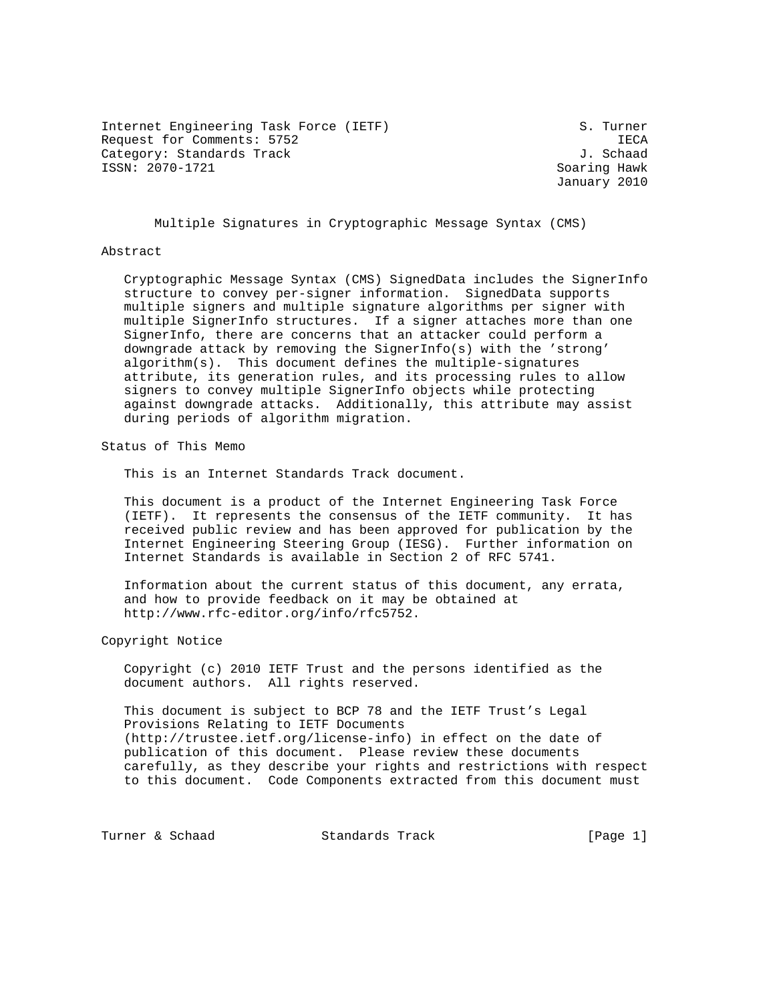Internet Engineering Task Force (IETF) S. Turner Request for Comments: 5752 IECA Category: Standards Track J. Schaad ISSN: 2070-1721 Soaring Hawk

January 2010

Multiple Signatures in Cryptographic Message Syntax (CMS)

#### Abstract

 Cryptographic Message Syntax (CMS) SignedData includes the SignerInfo structure to convey per-signer information. SignedData supports multiple signers and multiple signature algorithms per signer with multiple SignerInfo structures. If a signer attaches more than one SignerInfo, there are concerns that an attacker could perform a downgrade attack by removing the SignerInfo(s) with the 'strong' algorithm(s). This document defines the multiple-signatures attribute, its generation rules, and its processing rules to allow signers to convey multiple SignerInfo objects while protecting against downgrade attacks. Additionally, this attribute may assist during periods of algorithm migration.

Status of This Memo

This is an Internet Standards Track document.

 This document is a product of the Internet Engineering Task Force (IETF). It represents the consensus of the IETF community. It has received public review and has been approved for publication by the Internet Engineering Steering Group (IESG). Further information on Internet Standards is available in Section 2 of RFC 5741.

 Information about the current status of this document, any errata, and how to provide feedback on it may be obtained at http://www.rfc-editor.org/info/rfc5752.

Copyright Notice

 Copyright (c) 2010 IETF Trust and the persons identified as the document authors. All rights reserved.

 This document is subject to BCP 78 and the IETF Trust's Legal Provisions Relating to IETF Documents (http://trustee.ietf.org/license-info) in effect on the date of publication of this document. Please review these documents carefully, as they describe your rights and restrictions with respect to this document. Code Components extracted from this document must

Turner & Schaad Standards Track [Page 1]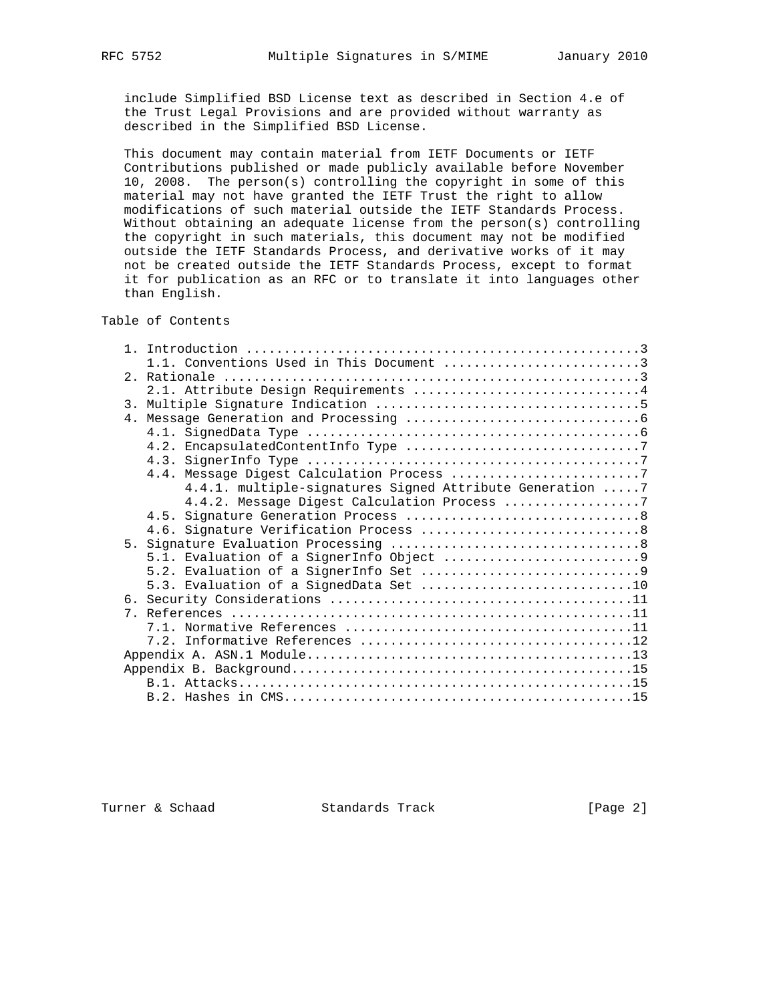include Simplified BSD License text as described in Section 4.e of the Trust Legal Provisions and are provided without warranty as described in the Simplified BSD License.

 This document may contain material from IETF Documents or IETF Contributions published or made publicly available before November 10, 2008. The person(s) controlling the copyright in some of this material may not have granted the IETF Trust the right to allow modifications of such material outside the IETF Standards Process. Without obtaining an adequate license from the person(s) controlling the copyright in such materials, this document may not be modified outside the IETF Standards Process, and derivative works of it may not be created outside the IETF Standards Process, except to format it for publication as an RFC or to translate it into languages other than English.

# Table of Contents

| 1.1. Conventions Used in This Document 3                  |
|-----------------------------------------------------------|
|                                                           |
| 2.1. Attribute Design Requirements 4                      |
|                                                           |
|                                                           |
|                                                           |
|                                                           |
|                                                           |
|                                                           |
| 4.4.1. multiple-signatures Signed Attribute Generation  7 |
| 4.4.2. Message Digest Calculation Process 7               |
|                                                           |
|                                                           |
|                                                           |
|                                                           |
|                                                           |
|                                                           |
|                                                           |
|                                                           |
|                                                           |
|                                                           |
|                                                           |
|                                                           |
|                                                           |
|                                                           |

Turner & Schaad Standards Track [Page 2]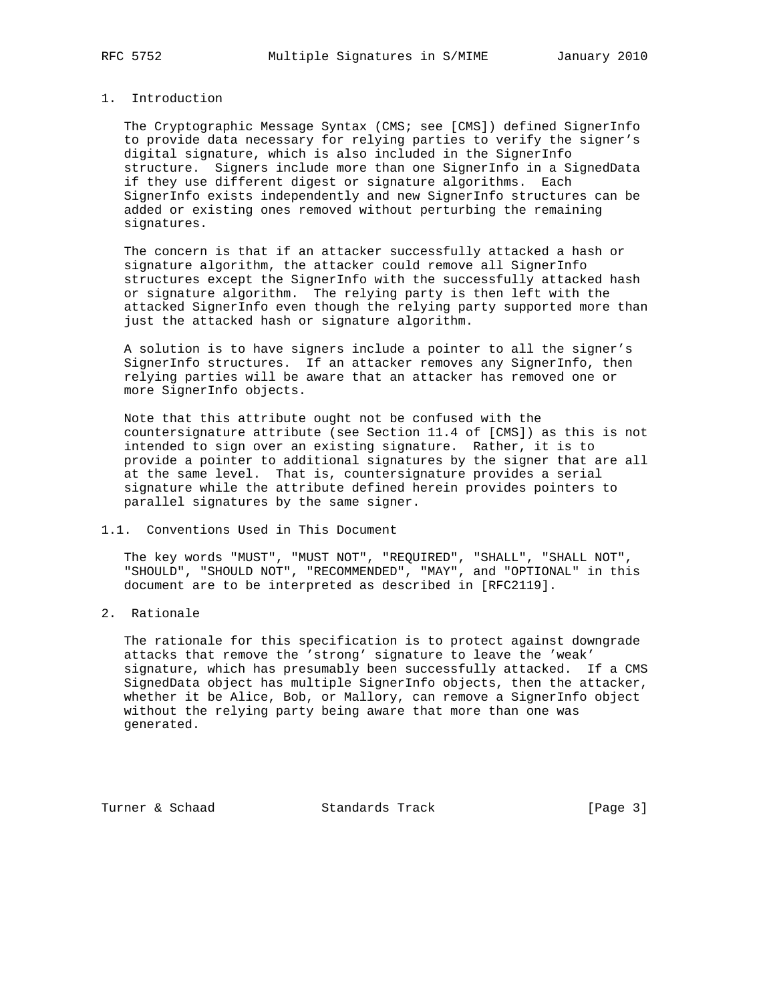## 1. Introduction

 The Cryptographic Message Syntax (CMS; see [CMS]) defined SignerInfo to provide data necessary for relying parties to verify the signer's digital signature, which is also included in the SignerInfo structure. Signers include more than one SignerInfo in a SignedData if they use different digest or signature algorithms. Each SignerInfo exists independently and new SignerInfo structures can be added or existing ones removed without perturbing the remaining signatures.

 The concern is that if an attacker successfully attacked a hash or signature algorithm, the attacker could remove all SignerInfo structures except the SignerInfo with the successfully attacked hash or signature algorithm. The relying party is then left with the attacked SignerInfo even though the relying party supported more than just the attacked hash or signature algorithm.

 A solution is to have signers include a pointer to all the signer's SignerInfo structures. If an attacker removes any SignerInfo, then relying parties will be aware that an attacker has removed one or more SignerInfo objects.

 Note that this attribute ought not be confused with the countersignature attribute (see Section 11.4 of [CMS]) as this is not intended to sign over an existing signature. Rather, it is to provide a pointer to additional signatures by the signer that are all at the same level. That is, countersignature provides a serial signature while the attribute defined herein provides pointers to parallel signatures by the same signer.

## 1.1. Conventions Used in This Document

 The key words "MUST", "MUST NOT", "REQUIRED", "SHALL", "SHALL NOT", "SHOULD", "SHOULD NOT", "RECOMMENDED", "MAY", and "OPTIONAL" in this document are to be interpreted as described in [RFC2119].

2. Rationale

 The rationale for this specification is to protect against downgrade attacks that remove the 'strong' signature to leave the 'weak' signature, which has presumably been successfully attacked. If a CMS SignedData object has multiple SignerInfo objects, then the attacker, whether it be Alice, Bob, or Mallory, can remove a SignerInfo object without the relying party being aware that more than one was generated.

Turner & Schaad Standards Track [Page 3]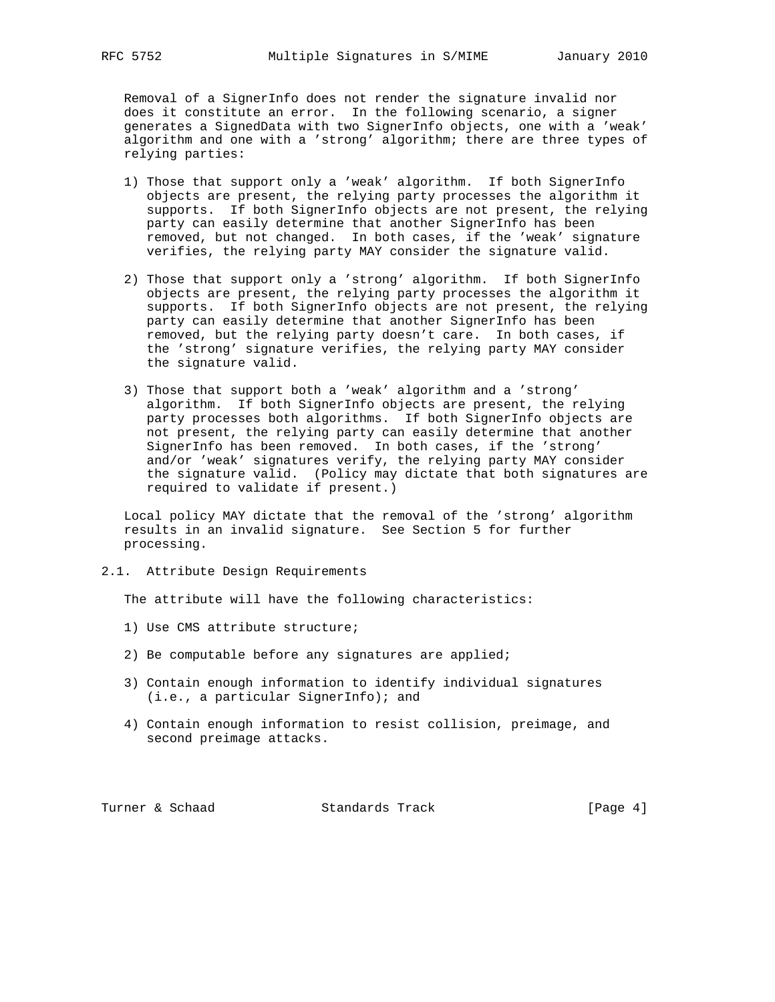Removal of a SignerInfo does not render the signature invalid nor does it constitute an error. In the following scenario, a signer generates a SignedData with two SignerInfo objects, one with a 'weak' algorithm and one with a 'strong' algorithm; there are three types of relying parties:

- 1) Those that support only a 'weak' algorithm. If both SignerInfo objects are present, the relying party processes the algorithm it supports. If both SignerInfo objects are not present, the relying party can easily determine that another SignerInfo has been removed, but not changed. In both cases, if the 'weak' signature verifies, the relying party MAY consider the signature valid.
- 2) Those that support only a 'strong' algorithm. If both SignerInfo objects are present, the relying party processes the algorithm it supports. If both SignerInfo objects are not present, the relying party can easily determine that another SignerInfo has been removed, but the relying party doesn't care. In both cases, if the 'strong' signature verifies, the relying party MAY consider the signature valid.
- 3) Those that support both a 'weak' algorithm and a 'strong' algorithm. If both SignerInfo objects are present, the relying party processes both algorithms. If both SignerInfo objects are not present, the relying party can easily determine that another SignerInfo has been removed. In both cases, if the 'strong' and/or 'weak' signatures verify, the relying party MAY consider the signature valid. (Policy may dictate that both signatures are required to validate if present.)

 Local policy MAY dictate that the removal of the 'strong' algorithm results in an invalid signature. See Section 5 for further processing.

2.1. Attribute Design Requirements

The attribute will have the following characteristics:

- 1) Use CMS attribute structure;
- 2) Be computable before any signatures are applied;
- 3) Contain enough information to identify individual signatures (i.e., a particular SignerInfo); and
- 4) Contain enough information to resist collision, preimage, and second preimage attacks.

Turner & Schaad Standards Track [Page 4]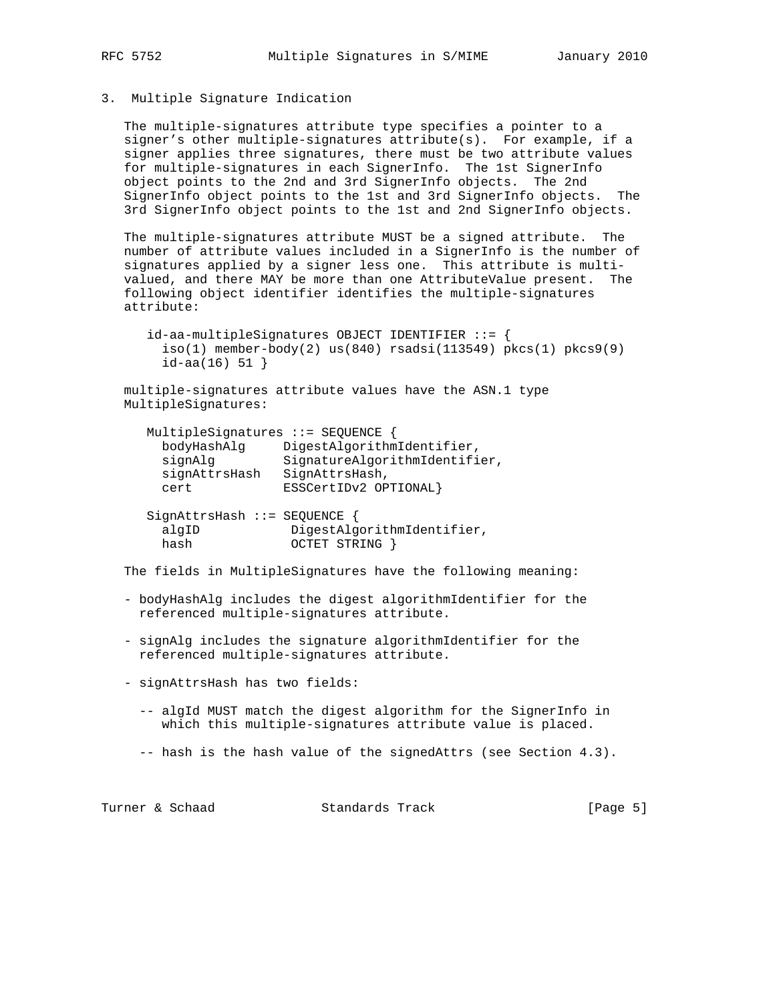## 3. Multiple Signature Indication

 The multiple-signatures attribute type specifies a pointer to a signer's other multiple-signatures attribute(s). For example, if a signer applies three signatures, there must be two attribute values for multiple-signatures in each SignerInfo. The 1st SignerInfo object points to the 2nd and 3rd SignerInfo objects. The 2nd SignerInfo object points to the 1st and 3rd SignerInfo objects. The 3rd SignerInfo object points to the 1st and 2nd SignerInfo objects.

 The multiple-signatures attribute MUST be a signed attribute. The number of attribute values included in a SignerInfo is the number of signatures applied by a signer less one. This attribute is multi valued, and there MAY be more than one AttributeValue present. The following object identifier identifies the multiple-signatures attribute:

 id-aa-multipleSignatures OBJECT IDENTIFIER ::= {  $iso(1)$  member-body(2) us(840) rsadsi(113549) pkcs(1) pkcs9(9)  $id$ -aa $(16)$  51 }

 multiple-signatures attribute values have the ASN.1 type MultipleSignatures:

| MultipleSignatures ::= SEQUENCE |                               |
|---------------------------------|-------------------------------|
| bodyHashAlq                     | DigestAlgorithmIdentifier,    |
| signAlg                         | SignatureAlgorithmIdentifier, |
| signAttrsHash                   | SignAttrsHash,                |
| cert                            | ESSCertIDv2 OPTIONAL}         |
|                                 |                               |

 SignAttrsHash ::= SEQUENCE { algID DigestAlgorithmIdentifier, hash OCTET STRING }

The fields in MultipleSignatures have the following meaning:

- bodyHashAlg includes the digest algorithmIdentifier for the referenced multiple-signatures attribute.
- signAlg includes the signature algorithmIdentifier for the referenced multiple-signatures attribute.
- signAttrsHash has two fields:
	- -- algId MUST match the digest algorithm for the SignerInfo in which this multiple-signatures attribute value is placed.
	- -- hash is the hash value of the signedAttrs (see Section 4.3).

Turner & Schaad Standards Track [Page 5]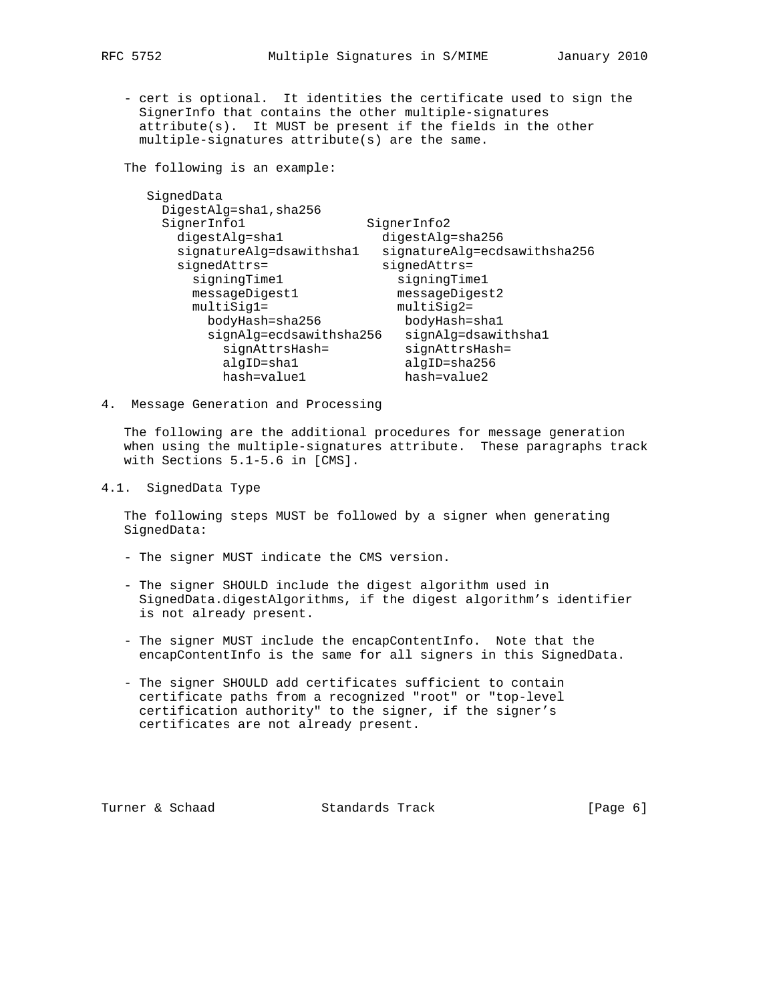- cert is optional. It identities the certificate used to sign the SignerInfo that contains the other multiple-signatures attribute(s). It MUST be present if the fields in the other multiple-signatures attribute(s) are the same.

The following is an example:

| SignedData               |                              |
|--------------------------|------------------------------|
| DigestAlg=shal, sha256   |                              |
| SignerInfol              | SignerInfo2                  |
| digestAlg=sha1           | digestAlg=sha256             |
| signatureAlg=dsawithshal | signatureAlg=ecdsawithsha256 |
| $si$ qned $Attrs$ =      | $si$ qned $Attrs$ =          |
| signingTime1             | signingTime1                 |
| messageDigest1           | messageDigest2               |
| $multisiq1=$             | multiSig2=                   |
| bodyHash=sha256          | bodyHash=shal                |
| signAlg=ecdsawithsha256  | signAlg=dsawithshal          |
| signAttrsHash=           | signAttrsHash=               |
| algID=shal               | algID=sha256                 |
| hash=value1              | hash=value2                  |
|                          |                              |

4. Message Generation and Processing

 The following are the additional procedures for message generation when using the multiple-signatures attribute. These paragraphs track with Sections 5.1-5.6 in [CMS].

### 4.1. SignedData Type

 The following steps MUST be followed by a signer when generating SignedData:

- The signer MUST indicate the CMS version.
- The signer SHOULD include the digest algorithm used in SignedData.digestAlgorithms, if the digest algorithm's identifier is not already present.
- The signer MUST include the encapContentInfo. Note that the encapContentInfo is the same for all signers in this SignedData.
- The signer SHOULD add certificates sufficient to contain certificate paths from a recognized "root" or "top-level certification authority" to the signer, if the signer's certificates are not already present.

Turner & Schaad Standards Track [Page 6]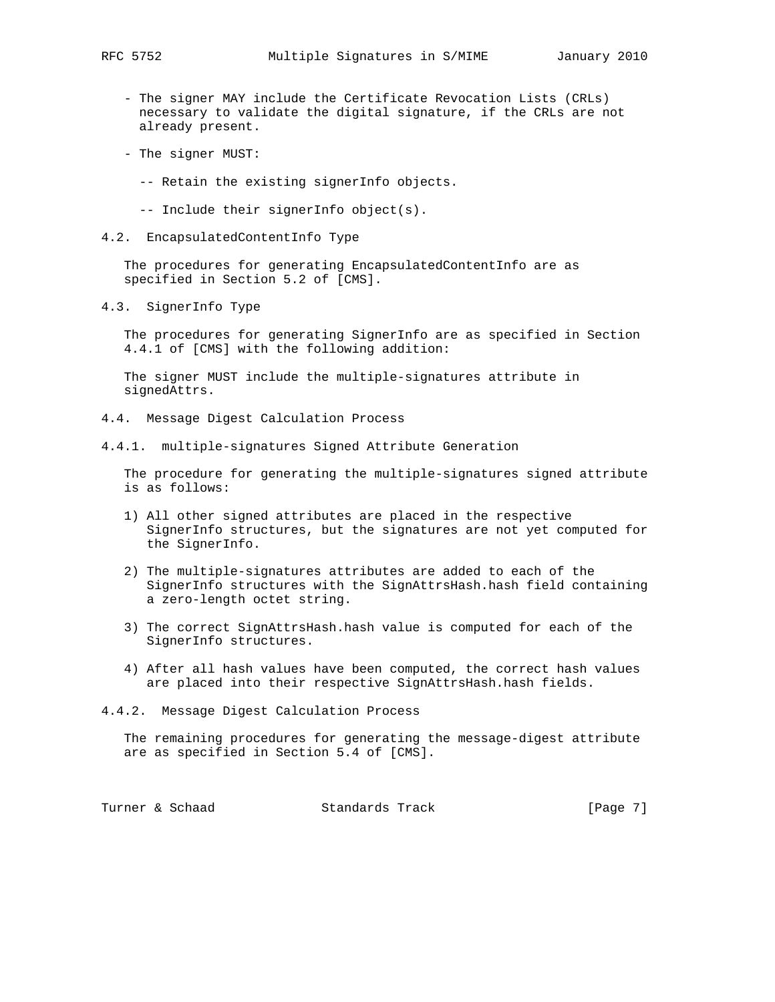- The signer MAY include the Certificate Revocation Lists (CRLs) necessary to validate the digital signature, if the CRLs are not already present.
- The signer MUST:
	- -- Retain the existing signerInfo objects.
	- -- Include their signerInfo object(s).
- 4.2. EncapsulatedContentInfo Type

 The procedures for generating EncapsulatedContentInfo are as specified in Section 5.2 of [CMS].

4.3. SignerInfo Type

 The procedures for generating SignerInfo are as specified in Section 4.4.1 of [CMS] with the following addition:

 The signer MUST include the multiple-signatures attribute in signedAttrs.

- 4.4. Message Digest Calculation Process
- 4.4.1. multiple-signatures Signed Attribute Generation

 The procedure for generating the multiple-signatures signed attribute is as follows:

- 1) All other signed attributes are placed in the respective SignerInfo structures, but the signatures are not yet computed for the SignerInfo.
- 2) The multiple-signatures attributes are added to each of the SignerInfo structures with the SignAttrsHash.hash field containing a zero-length octet string.
- 3) The correct SignAttrsHash.hash value is computed for each of the SignerInfo structures.
- 4) After all hash values have been computed, the correct hash values are placed into their respective SignAttrsHash.hash fields.
- 4.4.2. Message Digest Calculation Process

 The remaining procedures for generating the message-digest attribute are as specified in Section 5.4 of [CMS].

Turner & Schaad Standards Track [Page 7]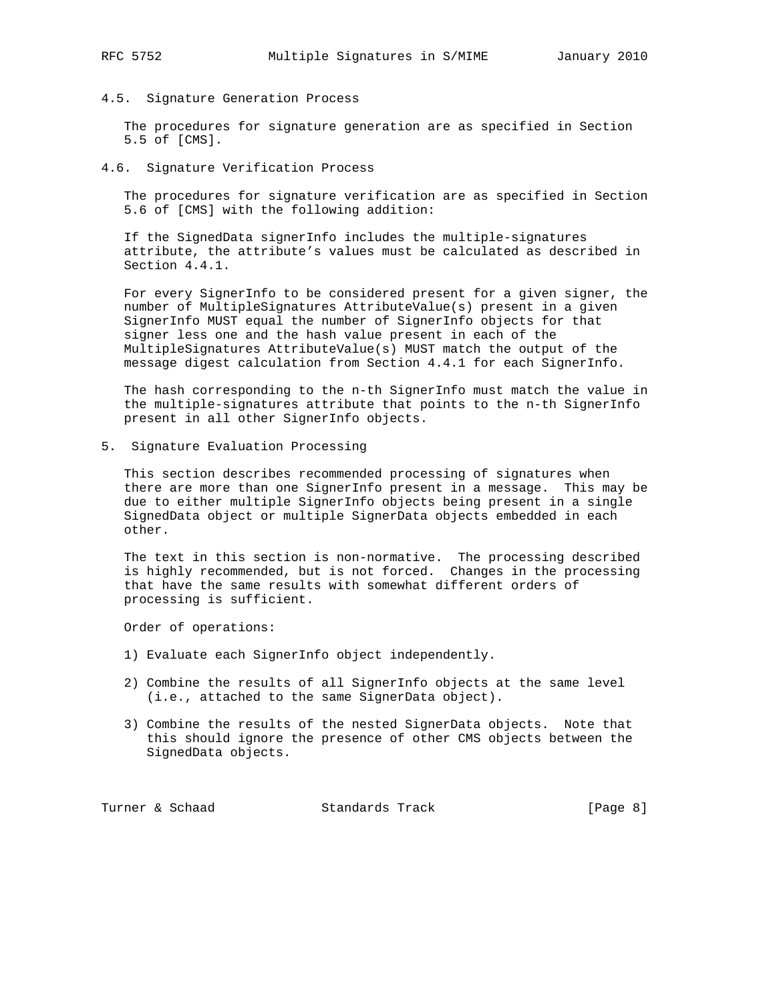4.5. Signature Generation Process

 The procedures for signature generation are as specified in Section 5.5 of [CMS].

4.6. Signature Verification Process

 The procedures for signature verification are as specified in Section 5.6 of [CMS] with the following addition:

 If the SignedData signerInfo includes the multiple-signatures attribute, the attribute's values must be calculated as described in Section 4.4.1.

 For every SignerInfo to be considered present for a given signer, the number of MultipleSignatures AttributeValue(s) present in a given SignerInfo MUST equal the number of SignerInfo objects for that signer less one and the hash value present in each of the MultipleSignatures AttributeValue(s) MUST match the output of the message digest calculation from Section 4.4.1 for each SignerInfo.

 The hash corresponding to the n-th SignerInfo must match the value in the multiple-signatures attribute that points to the n-th SignerInfo present in all other SignerInfo objects.

5. Signature Evaluation Processing

 This section describes recommended processing of signatures when there are more than one SignerInfo present in a message. This may be due to either multiple SignerInfo objects being present in a single SignedData object or multiple SignerData objects embedded in each other.

 The text in this section is non-normative. The processing described is highly recommended, but is not forced. Changes in the processing that have the same results with somewhat different orders of processing is sufficient.

Order of operations:

- 1) Evaluate each SignerInfo object independently.
- 2) Combine the results of all SignerInfo objects at the same level (i.e., attached to the same SignerData object).
- 3) Combine the results of the nested SignerData objects. Note that this should ignore the presence of other CMS objects between the SignedData objects.

Turner & Schaad Standards Track [Page 8]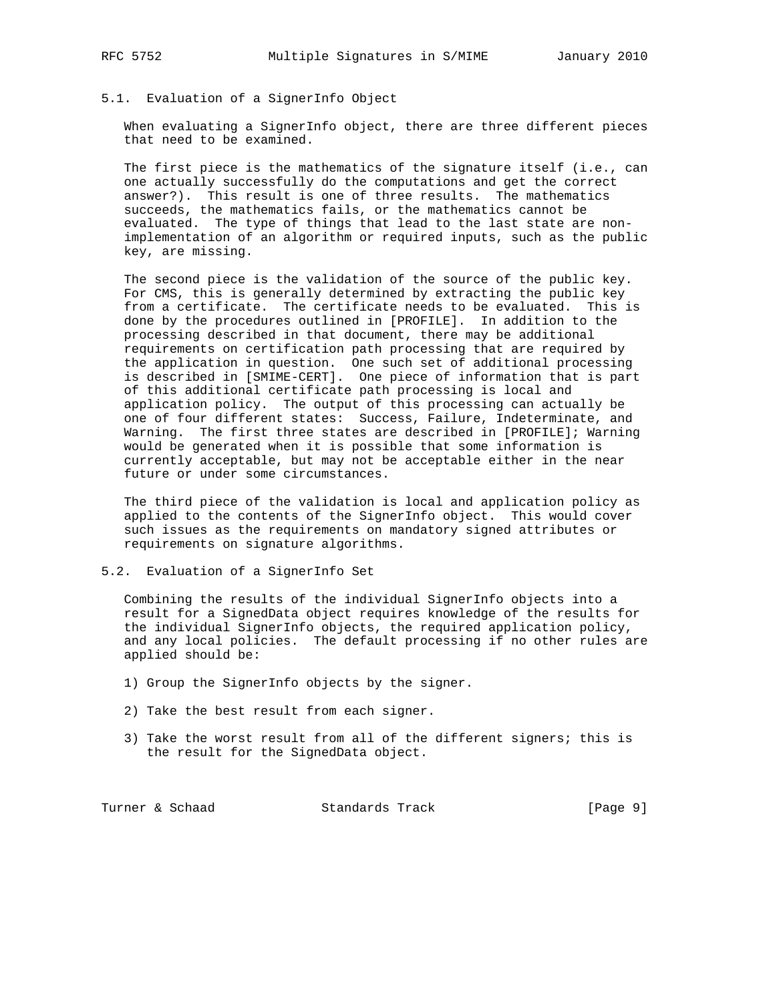## 5.1. Evaluation of a SignerInfo Object

 When evaluating a SignerInfo object, there are three different pieces that need to be examined.

 The first piece is the mathematics of the signature itself (i.e., can one actually successfully do the computations and get the correct answer?). This result is one of three results. The mathematics succeeds, the mathematics fails, or the mathematics cannot be evaluated. The type of things that lead to the last state are non implementation of an algorithm or required inputs, such as the public key, are missing.

 The second piece is the validation of the source of the public key. For CMS, this is generally determined by extracting the public key from a certificate. The certificate needs to be evaluated. This is done by the procedures outlined in [PROFILE]. In addition to the processing described in that document, there may be additional requirements on certification path processing that are required by the application in question. One such set of additional processing is described in [SMIME-CERT]. One piece of information that is part of this additional certificate path processing is local and application policy. The output of this processing can actually be one of four different states: Success, Failure, Indeterminate, and Warning. The first three states are described in [PROFILE]; Warning would be generated when it is possible that some information is currently acceptable, but may not be acceptable either in the near future or under some circumstances.

 The third piece of the validation is local and application policy as applied to the contents of the SignerInfo object. This would cover such issues as the requirements on mandatory signed attributes or requirements on signature algorithms.

5.2. Evaluation of a SignerInfo Set

 Combining the results of the individual SignerInfo objects into a result for a SignedData object requires knowledge of the results for the individual SignerInfo objects, the required application policy, and any local policies. The default processing if no other rules are applied should be:

- 1) Group the SignerInfo objects by the signer.
- 2) Take the best result from each signer.
- 3) Take the worst result from all of the different signers; this is the result for the SignedData object.

Turner & Schaad Standards Track [Page 9]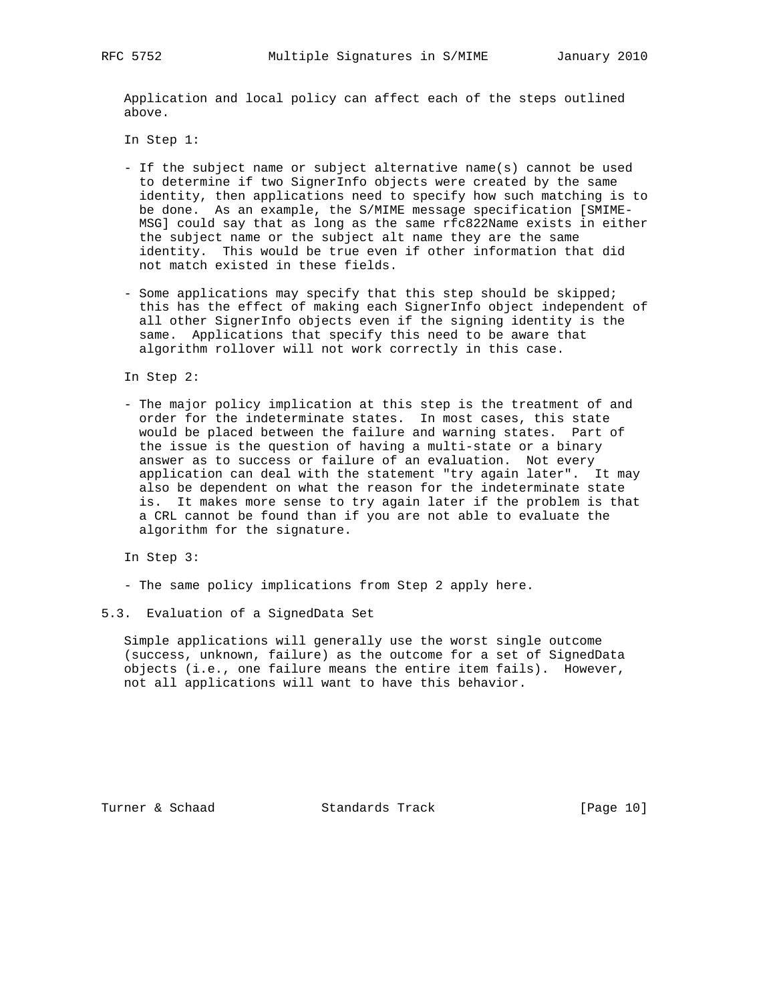Application and local policy can affect each of the steps outlined above.

In Step 1:

- If the subject name or subject alternative name(s) cannot be used to determine if two SignerInfo objects were created by the same identity, then applications need to specify how such matching is to be done. As an example, the S/MIME message specification [SMIME- MSG] could say that as long as the same rfc822Name exists in either the subject name or the subject alt name they are the same identity. This would be true even if other information that did not match existed in these fields.
- Some applications may specify that this step should be skipped; this has the effect of making each SignerInfo object independent of all other SignerInfo objects even if the signing identity is the same. Applications that specify this need to be aware that algorithm rollover will not work correctly in this case.

In Step 2:

 - The major policy implication at this step is the treatment of and order for the indeterminate states. In most cases, this state would be placed between the failure and warning states. Part of the issue is the question of having a multi-state or a binary answer as to success or failure of an evaluation. Not every application can deal with the statement "try again later". It may also be dependent on what the reason for the indeterminate state is. It makes more sense to try again later if the problem is that a CRL cannot be found than if you are not able to evaluate the algorithm for the signature.

In Step 3:

- The same policy implications from Step 2 apply here.
- 5.3. Evaluation of a SignedData Set

 Simple applications will generally use the worst single outcome (success, unknown, failure) as the outcome for a set of SignedData objects (i.e., one failure means the entire item fails). However, not all applications will want to have this behavior.

Turner & Schaad Standards Track [Page 10]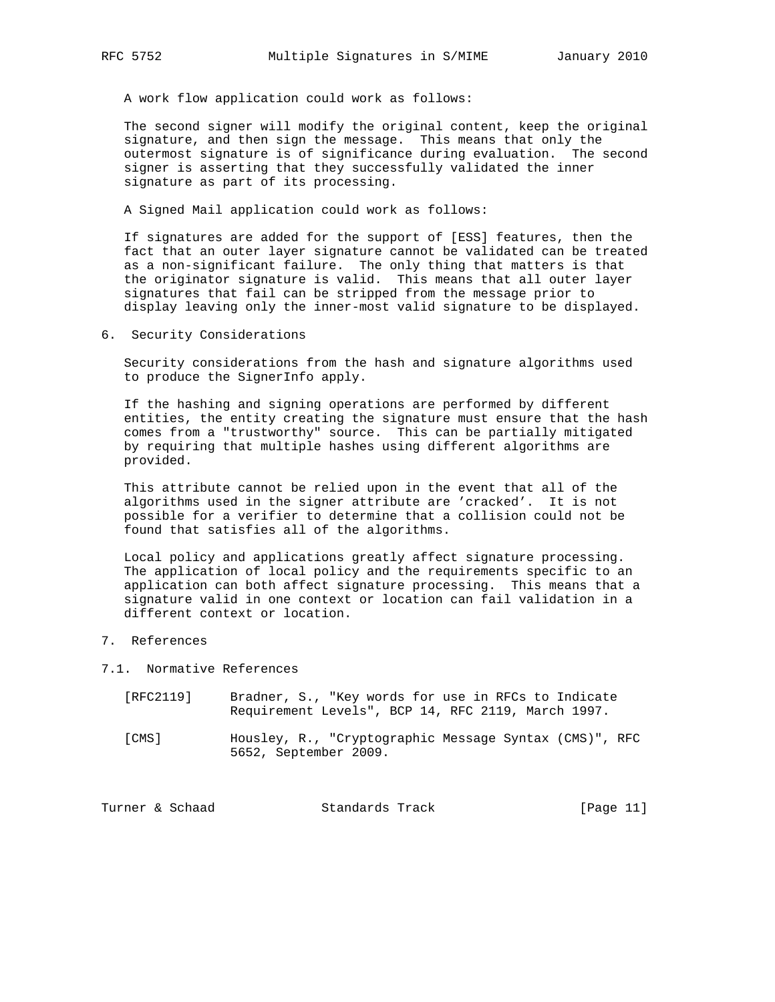A work flow application could work as follows:

 The second signer will modify the original content, keep the original signature, and then sign the message. This means that only the outermost signature is of significance during evaluation. The second signer is asserting that they successfully validated the inner signature as part of its processing.

A Signed Mail application could work as follows:

 If signatures are added for the support of [ESS] features, then the fact that an outer layer signature cannot be validated can be treated as a non-significant failure. The only thing that matters is that the originator signature is valid. This means that all outer layer signatures that fail can be stripped from the message prior to display leaving only the inner-most valid signature to be displayed.

6. Security Considerations

 Security considerations from the hash and signature algorithms used to produce the SignerInfo apply.

 If the hashing and signing operations are performed by different entities, the entity creating the signature must ensure that the hash comes from a "trustworthy" source. This can be partially mitigated by requiring that multiple hashes using different algorithms are provided.

 This attribute cannot be relied upon in the event that all of the algorithms used in the signer attribute are 'cracked'. It is not possible for a verifier to determine that a collision could not be found that satisfies all of the algorithms.

 Local policy and applications greatly affect signature processing. The application of local policy and the requirements specific to an application can both affect signature processing. This means that a signature valid in one context or location can fail validation in a different context or location.

- 7. References
- 7.1. Normative References
	- [RFC2119] Bradner, S., "Key words for use in RFCs to Indicate Requirement Levels", BCP 14, RFC 2119, March 1997.
	- [CMS] Housley, R., "Cryptographic Message Syntax (CMS)", RFC 5652, September 2009.

| Standards Track<br>Turner & Schaad | [Page 11] |
|------------------------------------|-----------|
|------------------------------------|-----------|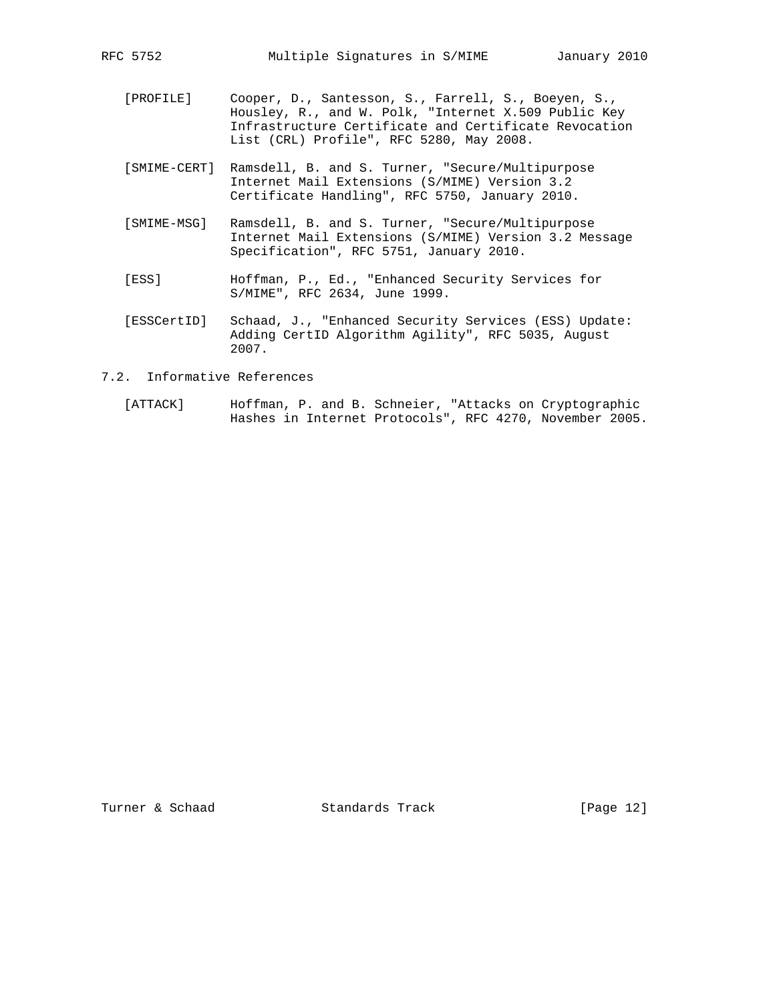- [PROFILE] Cooper, D., Santesson, S., Farrell, S., Boeyen, S., Housley, R., and W. Polk, "Internet X.509 Public Key Infrastructure Certificate and Certificate Revocation List (CRL) Profile", RFC 5280, May 2008.
	- [SMIME-CERT] Ramsdell, B. and S. Turner, "Secure/Multipurpose Internet Mail Extensions (S/MIME) Version 3.2 Certificate Handling", RFC 5750, January 2010.
	- [SMIME-MSG] Ramsdell, B. and S. Turner, "Secure/Multipurpose Internet Mail Extensions (S/MIME) Version 3.2 Message Specification", RFC 5751, January 2010.
- [ESS] Hoffman, P., Ed., "Enhanced Security Services for S/MIME", RFC 2634, June 1999.
	- [ESSCertID] Schaad, J., "Enhanced Security Services (ESS) Update: Adding CertID Algorithm Agility", RFC 5035, August 2007.

## 7.2. Informative References

 [ATTACK] Hoffman, P. and B. Schneier, "Attacks on Cryptographic Hashes in Internet Protocols", RFC 4270, November 2005.

Turner & Schaad Standards Track [Page 12]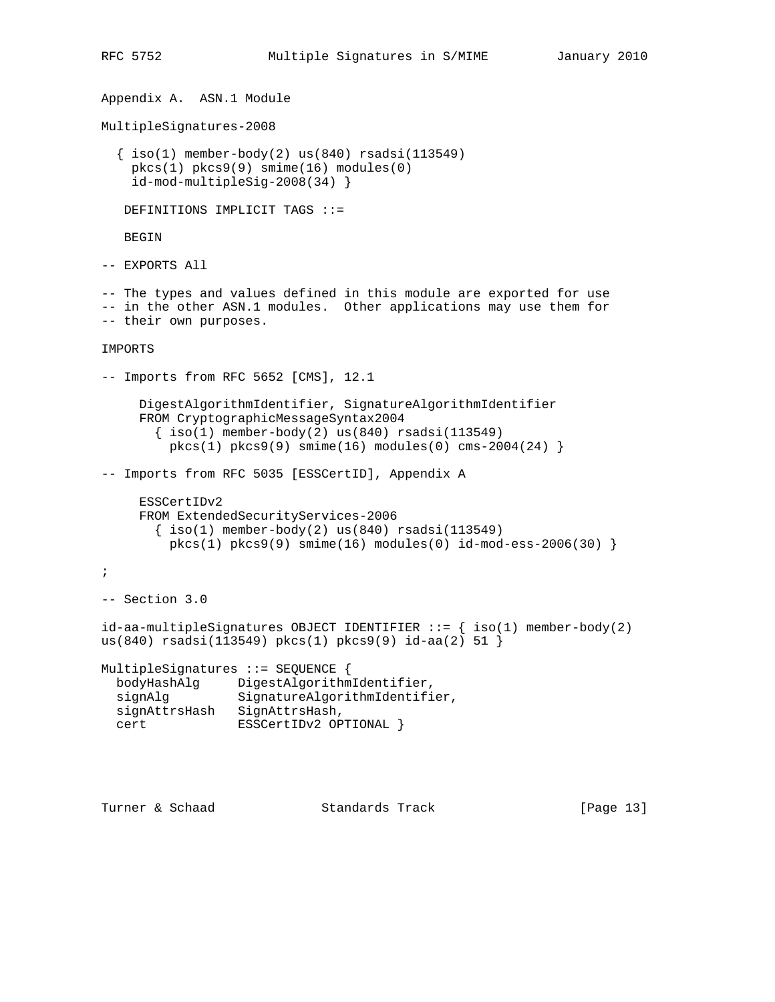```
Appendix A. ASN.1 Module
MultipleSignatures-2008
  \{ iso(1) member-body(2) us(840) rsadsi(113549) pkcs(1) pkcs9(9) smime(16) modules(0)
     id-mod-multipleSig-2008(34) }
   DEFINITIONS IMPLICIT TAGS ::=
   BEGIN
-- EXPORTS All
-- The types and values defined in this module are exported for use
-- in the other ASN.1 modules. Other applications may use them for
-- their own purposes.
IMPORTS
-- Imports from RFC 5652 [CMS], 12.1
      DigestAlgorithmIdentifier, SignatureAlgorithmIdentifier
      FROM CryptographicMessageSyntax2004
       \{ iso(1) member-body(2) us(840) rsadsi(113549)pkcs(1) pkcs9(9) smine(16) modules(0) cms-2004(24)-- Imports from RFC 5035 [ESSCertID], Appendix A
      ESSCertIDv2
      FROM ExtendedSecurityServices-2006
       \{\text{iso}(1) \text{ member-body}(2) \text{us}(840) \text{ rsadsi}(113549)\}pkcs(1) pkcs9(9) simime(16) modules(0) id-mod-ess-2006(30);
-- Section 3.0
id-aa-multipleSignatures OBJECT IDENTIFIER ::= \{ iso(1) member-body(2)
us(840) rsadsi(113549) pkcs(1) pkcs9(9) id-aa(2) 51 }
MultipleSignatures ::= SEQUENCE {
  bodyHashAlg DigestAlgorithmIdentifier,
  signAlg SignatureAlgorithmIdentifier,
  signAttrsHash SignAttrsHash,
 cert ESSCertIDv2 OPTIONAL }
```
Turner & Schaad Standards Track [Page 13]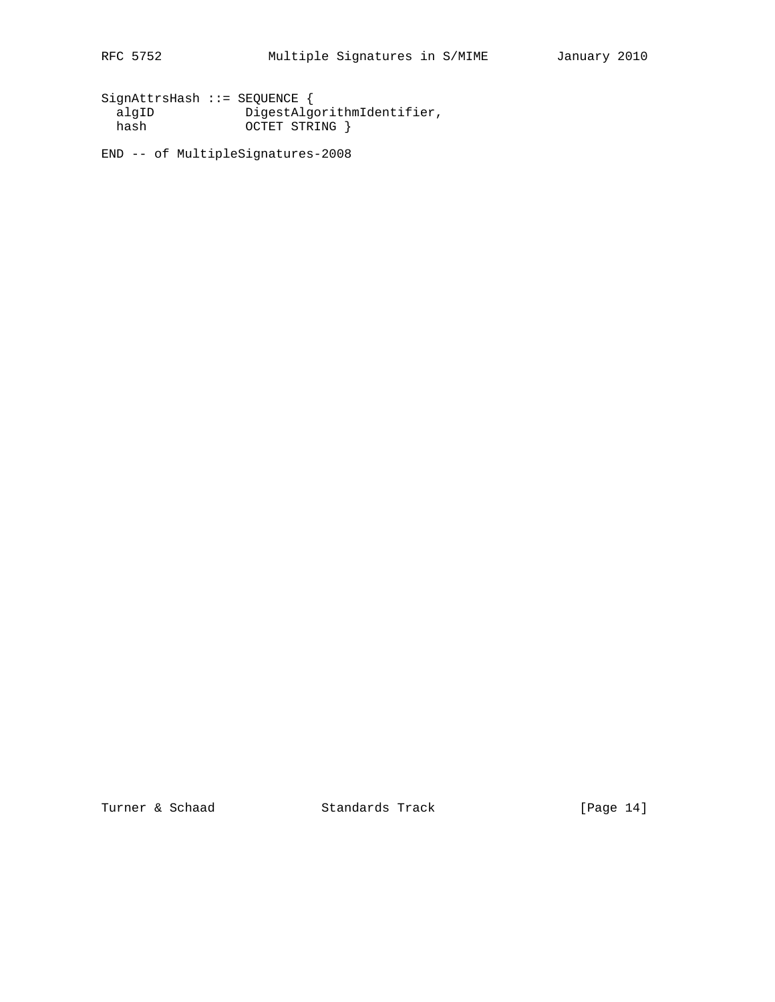SignAttrsHash ::= SEQUENCE { algID DigestAlgorithmIdentifier, hash OCTET STRING }

END -- of MultipleSignatures-2008

Turner & Schaad Standards Track [Page 14]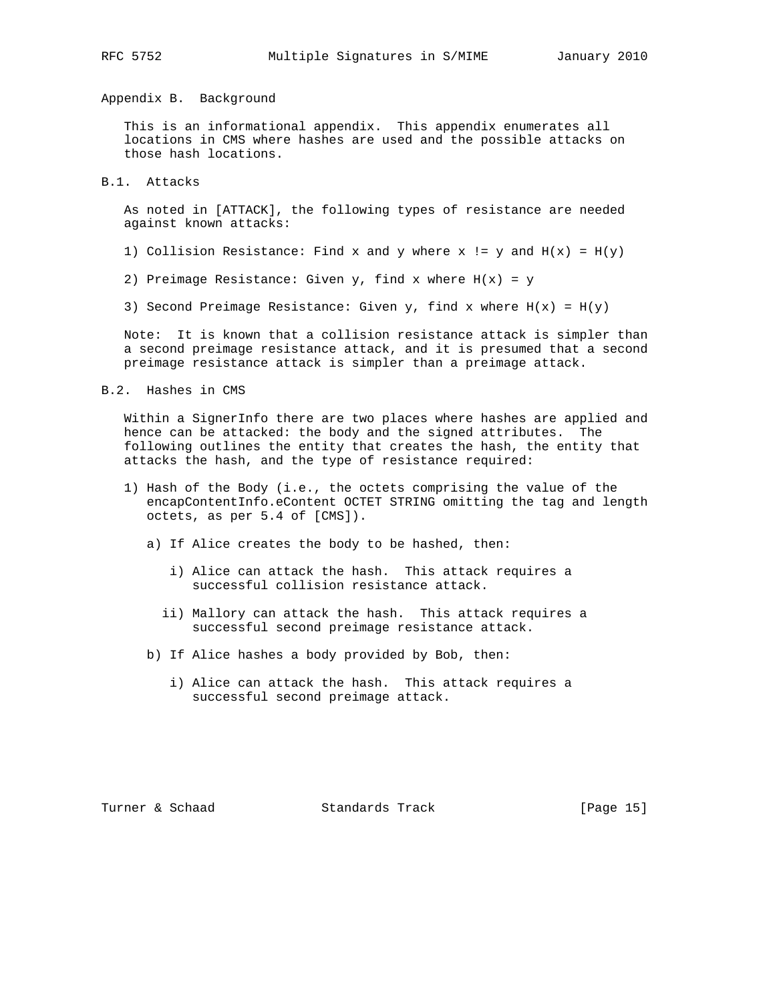## Appendix B. Background

 This is an informational appendix. This appendix enumerates all locations in CMS where hashes are used and the possible attacks on those hash locations.

## B.1. Attacks

 As noted in [ATTACK], the following types of resistance are needed against known attacks:

- 1) Collision Resistance: Find x and y where x != y and  $H(x) = H(y)$
- 2) Preimage Resistance: Given  $y$ , find x where  $H(x) = y$
- 3) Second Preimage Resistance: Given  $y$ , find x where  $H(x) = H(y)$

 Note: It is known that a collision resistance attack is simpler than a second preimage resistance attack, and it is presumed that a second preimage resistance attack is simpler than a preimage attack.

B.2. Hashes in CMS

 Within a SignerInfo there are two places where hashes are applied and hence can be attacked: the body and the signed attributes. The following outlines the entity that creates the hash, the entity that attacks the hash, and the type of resistance required:

- 1) Hash of the Body (i.e., the octets comprising the value of the encapContentInfo.eContent OCTET STRING omitting the tag and length octets, as per 5.4 of [CMS]).
	- a) If Alice creates the body to be hashed, then:
		- i) Alice can attack the hash. This attack requires a successful collision resistance attack.
		- ii) Mallory can attack the hash. This attack requires a successful second preimage resistance attack.
	- b) If Alice hashes a body provided by Bob, then:
		- i) Alice can attack the hash. This attack requires a successful second preimage attack.

Turner & Schaad Standards Track [Page 15]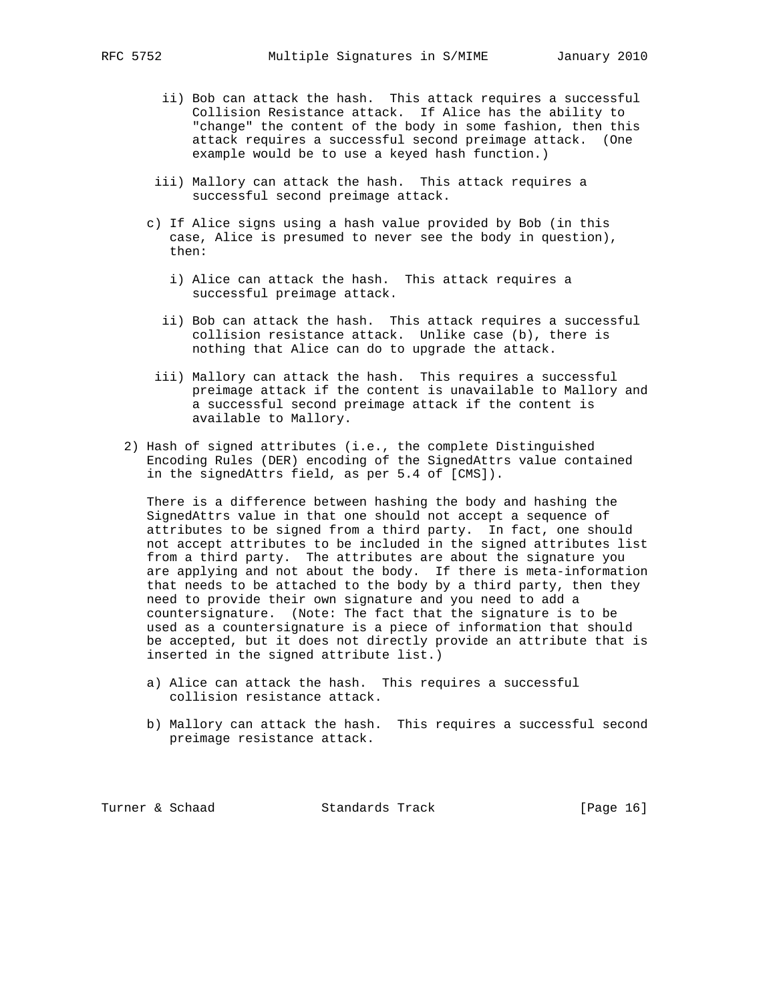- ii) Bob can attack the hash. This attack requires a successful Collision Resistance attack. If Alice has the ability to "change" the content of the body in some fashion, then this attack requires a successful second preimage attack. (One example would be to use a keyed hash function.)
- iii) Mallory can attack the hash. This attack requires a successful second preimage attack.
- c) If Alice signs using a hash value provided by Bob (in this case, Alice is presumed to never see the body in question), then:
	- i) Alice can attack the hash. This attack requires a successful preimage attack.
	- ii) Bob can attack the hash. This attack requires a successful collision resistance attack. Unlike case (b), there is nothing that Alice can do to upgrade the attack.
- iii) Mallory can attack the hash. This requires a successful preimage attack if the content is unavailable to Mallory and a successful second preimage attack if the content is available to Mallory.
- 2) Hash of signed attributes (i.e., the complete Distinguished Encoding Rules (DER) encoding of the SignedAttrs value contained in the signedAttrs field, as per 5.4 of [CMS]).

 There is a difference between hashing the body and hashing the SignedAttrs value in that one should not accept a sequence of attributes to be signed from a third party. In fact, one should not accept attributes to be included in the signed attributes list from a third party. The attributes are about the signature you are applying and not about the body. If there is meta-information that needs to be attached to the body by a third party, then they need to provide their own signature and you need to add a countersignature. (Note: The fact that the signature is to be used as a countersignature is a piece of information that should be accepted, but it does not directly provide an attribute that is inserted in the signed attribute list.)

- a) Alice can attack the hash. This requires a successful collision resistance attack.
- b) Mallory can attack the hash. This requires a successful second preimage resistance attack.

Turner & Schaad Standards Track [Page 16]